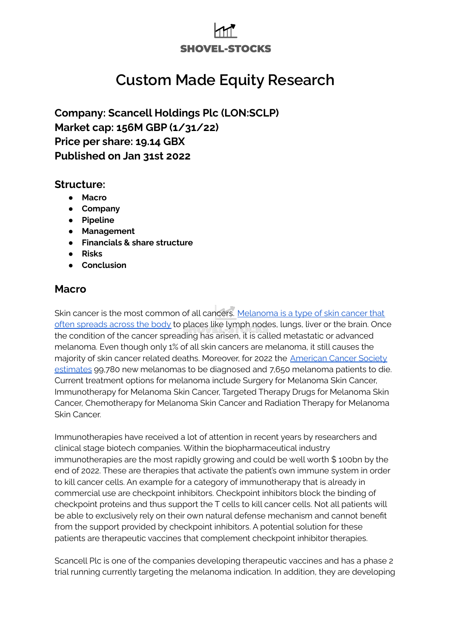# **SHOVEL-STOCKS**

## **Custom Made Equity Research**

**Company: Scancell Holdings Plc (LON:SCLP) Market cap: 156M GBP (1/31/22) Price per share: 19.14 GBX Published on Jan 31st 2022**

#### **Structure:**

- **● Macro**
- **● Company**
- **● Pipeline**
- **● Management**
- **● Financials & share structure**
- **● Risks**
- **● Conclusion**

### **Macro**

Skin cancer is the most common of all cancers. [Melanoma](https://www.webmd.com/melanoma-skin-cancer/metastatic-melanoma#1) is a type of skin cancer that often [spreads](https://www.webmd.com/melanoma-skin-cancer/metastatic-melanoma#1) across the body to places like lymph nodes, lungs, liver or the brain. Once the condition of the cancer spreading has arisen, it is called metastatic or advanced melanoma. Even though only 1% of all skin cancers are melanoma, it still causes the majority of skin cancer related deaths. Moreover, for 2022 the [American](https://www.cancer.org/cancer/melanoma-skin-cancer/about/key-statistics.html) Cancer Society [estimates](https://www.cancer.org/cancer/melanoma-skin-cancer/about/key-statistics.html) 99,780 new melanomas to be diagnosed and 7,650 melanoma patients to die. Current treatment options for melanoma include Surgery for Melanoma Skin Cancer, Immunotherapy for Melanoma Skin Cancer, Targeted Therapy Drugs for Melanoma Skin Cancer, Chemotherapy for Melanoma Skin Cancer and Radiation Therapy for Melanoma Skin Cancer.

Immunotherapies have received a lot of attention in recent years by researchers and clinical stage biotech companies. Within the biopharmaceutical industry immunotherapies are the most rapidly growing and could be well worth \$ 100bn by the end of 2022. These are therapies that activate the patient's own immune system in order to kill cancer cells. An example for a category of immunotherapy that is already in commercial use are checkpoint inhibitors. Checkpoint inhibitors block the binding of checkpoint proteins and thus support the T cells to kill cancer cells. Not all patients will be able to exclusively rely on their own natural defense mechanism and cannot benefit from the support provided by checkpoint inhibitors. A potential solution for these patients are therapeutic vaccines that complement checkpoint inhibitor therapies.

Scancell Plc is one of the companies developing therapeutic vaccines and has a phase 2 trial running currently targeting the melanoma indication. In addition, they are developing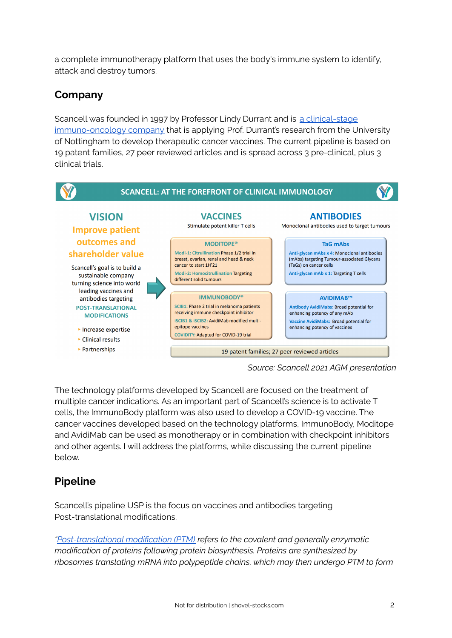a complete immunotherapy platform that uses the body's immune system to identify, attack and destroy tumors.

## **Company**

Scancell was founded in 1997 by Professor Lindy Durrant and is a [clinical-stage](https://www.scancell.co.uk/company-profile) [immuno-oncology](https://www.scancell.co.uk/company-profile) company that is applying Prof. Durrant's research from the University of Nottingham to develop therapeutic cancer vaccines. The current pipeline is based on 19 patent families, 27 peer reviewed articles and is spread across 3 pre-clinical, plus 3 clinical trials.



*Source: Scancell 2021 AGM presentation*

The technology platforms developed by Scancell are focused on the treatment of multiple cancer indications. As an important part of Scancell's science is to activate T cells, the ImmunoBody platform was also used to develop a COVID-19 vaccine. The cancer vaccines developed based on the technology platforms, ImmunoBody, Moditope and AvidiMab can be used as monotherapy or in combination with checkpoint inhibitors and other agents. I will address the platforms, while discussing the current pipeline below.

## **Pipeline**

Scancell's pipeline USP is the focus on vaccines and antibodies targeting Post-translational modifications.

*["Post-translational](https://en.wikipedia.org/wiki/Post-translational_modification#:~:text=Post%2Dtranslational%20modification%20(PTM),form%20the%20mature%20protein%20product.) modification (PTM) refers to the covalent and generally enzymatic modification of proteins following protein biosynthesis. Proteins are synthesized by ribosomes translating mRNA into polypeptide chains, which may then undergo PTM to form*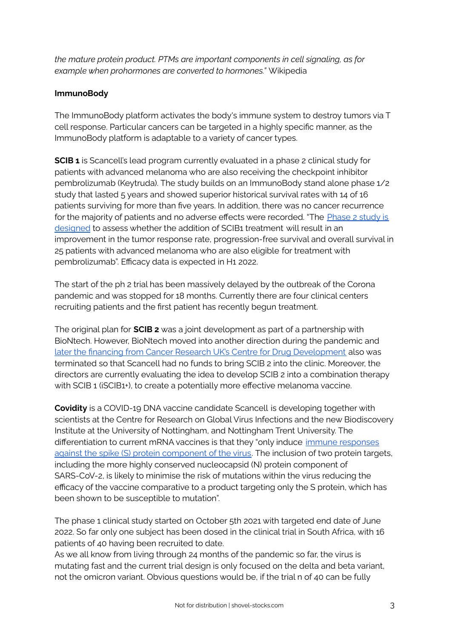*the mature protein product. PTMs are important components in cell signaling, as for example when prohormones are converted to hormones."* Wikipedia

#### **ImmunoBody**

The ImmunoBody platform activates the body's immune system to destroy tumors via T cell response. Particular cancers can be targeted in a highly specific manner, as the ImmunoBody platform is adaptable to a variety of cancer types.

**SCIB 1** is Scancell's lead program currently evaluated in a phase 2 clinical study for patients with advanced melanoma who are also receiving the checkpoint inhibitor pembrolizumab (Keytruda). The study builds on an ImmunoBody stand alone phase 1/2 study that lasted 5 years and showed superior historical survival rates with 14 of 16 patients surviving for more than five years. In addition, there was no cancer recurrence for the majority of patients and no adverse effects were recorded. "The [Phase](https://polaris.brighterir.com/public/scancell/news/rns_widget/story/ry94n8x) 2 study is [designed](https://polaris.brighterir.com/public/scancell/news/rns_widget/story/ry94n8x) to assess whether the addition of SCIB1 treatment will result in an improvement in the tumor response rate, progression-free survival and overall survival in 25 patients with advanced melanoma who are also eligible for treatment with pembrolizumab". Efficacy data is expected in H1 2022.

The start of the ph 2 trial has been massively delayed by the outbreak of the Corona pandemic and was stopped for 18 months. Currently there are four clinical centers recruiting patients and the first patient has recently begun treatment.

The original plan for **SCIB 2** was a joint development as part of a partnership with BioNtech. However, BioNtech moved into another direction during the pandemic and later the financing from Cancer Research UK's Centre for Drug [Development](https://www.scancell.co.uk/Data/Sites/1/media/publications/rns/scancell-update-on-scib2-clinical-development-partnership-final-03.02.21.pdf) also was terminated so that Scancell had no funds to bring SCIB 2 into the clinic. Moreover, the directors are currently evaluating the idea to develop SCIB 2 into a combination therapy with SCIB 1 (iSCIB1+), to create a potentially more effective melanoma vaccine.

**Covidity** is a COVID-19 DNA vaccine candidate Scancell is developing together with scientists at the Centre for Research on Global Virus Infections and the new Biodiscovery Institute at the University of Nottingham, and Nottingham Trent University. The differentiation to current mRNA vaccines is that they "only induce immune [responses](https://www.scancell.co.uk/scov1-scov2-covidity) against the spike (S) protein [component](https://www.scancell.co.uk/scov1-scov2-covidity) of the virus. The inclusion of two protein targets, including the more highly conserved nucleocapsid (N) protein component of SARS-CoV-2, is likely to minimise the risk of mutations within the virus reducing the efficacy of the vaccine comparative to a product targeting only the S protein, which has been shown to be susceptible to mutation".

The phase 1 clinical study started on October 5th 2021 with targeted end date of June 2022. So far only one subject has been dosed in the clinical trial in South Africa, with 16 patients of 40 having been recruited to date.

As we all know from living through 24 months of the pandemic so far, the virus is mutating fast and the current trial design is only focused on the delta and beta variant, not the omicron variant. Obvious questions would be, if the trial n of 40 can be fully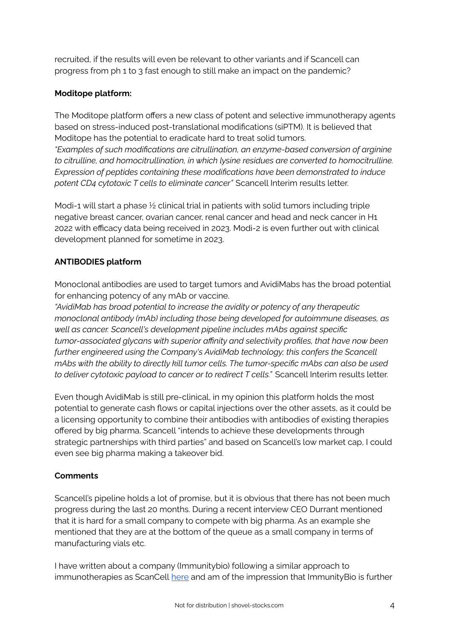recruited, if the results will even be relevant to other variants and if Scancell can progress from ph 1 to 3 fast enough to still make an impact on the pandemic?

#### **Moditope platform:**

The Moditope platform offers a new class of potent and selective immunotherapy agents based on stress-induced post-translational modifications (siPTM). It is believed that Moditope has the potential to eradicate hard to treat solid tumors.

*"Examples of such modifications are citrullination, an enzyme-based conversion of arginine to citrulline, and homocitrullination, in which lysine residues are converted to homocitrulline. Expression of peptides containing these modifications have been demonstrated to induce potent CD4 cytotoxic T cells to eliminate cancer"* Scancell Interim results letter.

Modi-1 will start a phase ½ clinical trial in patients with solid tumors including triple negative breast cancer, ovarian cancer, renal cancer and head and neck cancer in H1 2022 with efficacy data being received in 2023. Modi-2 is even further out with clinical development planned for sometime in 2023.

#### **ANTIBODIES platform**

Monoclonal antibodies are used to target tumors and AvidiMabs has the broad potential for enhancing potency of any mAb or vaccine.

*"AvidiMab has broad potential to increase the avidity or potency of any therapeutic monoclonal antibody (mAb) including those being developed for autoimmune diseases, as well as cancer. Scancell's development pipeline includes mAbs against specific tumor-associated glycans with superior affinity and selectivity profiles, that have now been further engineered using the Company's AvidiMab technology; this confers the Scancell mAbs with the ability to directly kill tumor cells. The tumor-specific mAbs can also be used to deliver cytotoxic payload to cancer or to redirect T cells."* Scancell Interim results letter.

Even though AvidiMab is still pre-clinical, in my opinion this platform holds the most potential to generate cash flows or capital injections over the other assets, as it could be a licensing opportunity to combine their antibodies with antibodies of existing therapies offered by big pharma. Scancell "intends to achieve these developments through strategic partnerships with third parties" and based on Scancell's low market cap, I could even see big pharma making a takeover bid.

#### **Comments**

Scancell's pipeline holds a lot of promise, but it is obvious that there has not been much progress during the last 20 months. During a recent interview CEO Durrant mentioned that it is hard for a small company to compete with big pharma. As an example she mentioned that they are at the bottom of the queue as a small company in terms of manufacturing vials etc.

I have written about a company (Immunitybio) following a similar approach to immunotherapies as ScanCell [here](https://www.shovel-stocks.com/post/healing-cancer-breaking-dogmas-immunitybio-ibrx) and am of the impression that ImmunityBio is further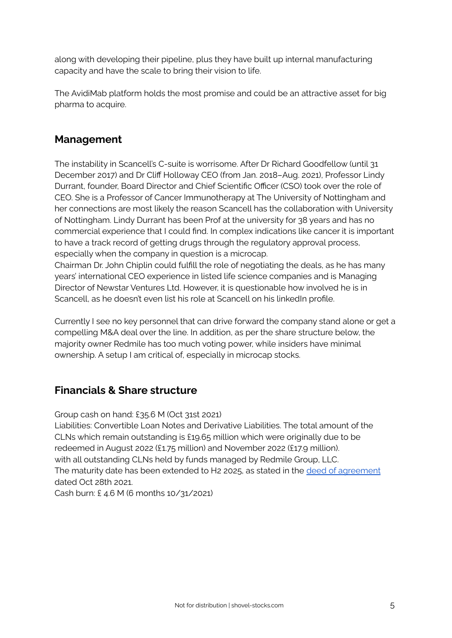along with developing their pipeline, plus they have built up internal manufacturing capacity and have the scale to bring their vision to life.

The AvidiMab platform holds the most promise and could be an attractive asset for big pharma to acquire.

## **Management**

The instability in Scancell's C-suite is worrisome. After Dr Richard Goodfellow (until 31 December 2017) and Dr Cliff Holloway CEO (from Jan. 2018–Aug. 2021), Professor Lindy Durrant, founder, Board Director and Chief Scientific Officer (CSO) took over the role of CEO. She is a Professor of Cancer Immunotherapy at The University of Nottingham and her connections are most likely the reason Scancell has the collaboration with University of Nottingham. Lindy Durrant has been Prof at the university for 38 years and has no commercial experience that I could find. In complex indications like cancer it is important to have a track record of getting drugs through the regulatory approval process, especially when the company in question is a microcap.

Chairman Dr. John Chiplin could fulfill the role of negotiating the deals, as he has many years' international CEO experience in listed life science companies and is Managing Director of Newstar Ventures Ltd. However, it is questionable how involved he is in Scancell, as he doesn't even list his role at Scancell on his linkedIn profile.

Currently I see no key personnel that can drive forward the company stand alone or get a compelling M&A deal over the line. In addition, as per the share structure below, the majority owner Redmile has too much voting power, while insiders have minimal ownership. A setup I am critical of, especially in microcap stocks.

## **Financials & Share structure**

Group cash on hand: £35.6 M (Oct 31st 2021)

Liabilities: Convertible Loan Notes and Derivative Liabilities. The total amount of the CLNs which remain outstanding is £19.65 million which were originally due to be redeemed in August 2022 (£1.75 million) and November 2022 (£17.9 million). with all outstanding CLNs held by funds managed by Redmile Group, LLC. The maturity date has been extended to H2 2025, as stated in the deed of [agreement](https://www.investegate.co.uk/scancell-hlds--sclp-/rns/extension-of-cln-redemption-dates/202110281123155929Q/) dated Oct 28th 2021.

Cash burn: £ 4.6 M (6 months 10/31/2021)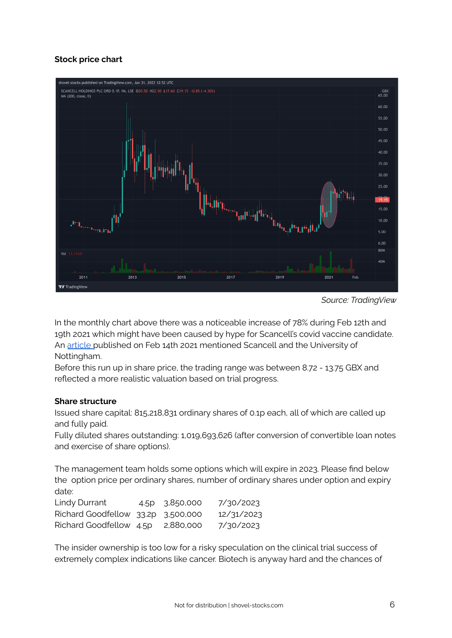#### **Stock price chart**



*Source: TradingView*

In the monthly chart above there was a noticeable increase of 78% during Feb 12th and 19th 2021 which might have been caused by hype for Scancell's covid vaccine candidate. An [article](https://news.sky.com/story/covid-19-new-vaccine-in-development-has-insurance-against-virus-mutations-12217119) published on Feb 14th 2021 mentioned Scancell and the University of Nottingham.

Before this run up in share price, the trading range was between 8.72 - 13.75 GBX and reflected a more realistic valuation based on trial progress.

#### **Share structure**

Issued share capital: 815,218,831 ordinary shares of 0.1p each, all of which are called up and fully paid.

Fully diluted shares outstanding: 1,019,693,626 (after conversion of convertible loan notes and exercise of share options).

The management team holds some options which will expire in 2023. Please find below the option price per ordinary shares, number of ordinary shares under option and expiry date:

| Lindy Durrant                      | 4.5p 3,850,000 | 7/30/2023  |
|------------------------------------|----------------|------------|
| Richard Goodfellow 33.2p 3,500,000 |                | 12/31/2023 |
| Richard Goodfellow 4.5p 2,880,000  |                | 7/30/2023  |

The insider ownership is too low for a risky speculation on the clinical trial success of extremely complex indications like cancer. Biotech is anyway hard and the chances of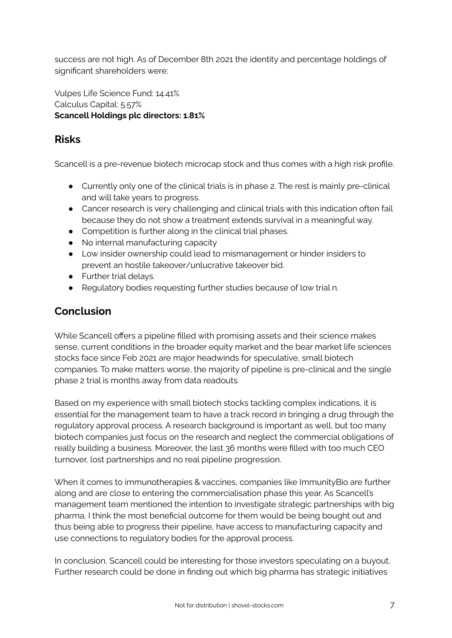success are not high. As of December 8th 2021 the identity and percentage holdings of significant shareholders were:

Vulpes Life Science Fund: 14.41% Calculus Capital: 5.57% **Scancell Holdings plc directors: 1.81%**

## **Risks**

Scancell is a pre-revenue biotech microcap stock and thus comes with a high risk profile.

- Currently only one of the clinical trials is in phase 2. The rest is mainly pre-clinical and will take years to progress.
- Cancer research is very challenging and clinical trials with this indication often fail because they do not show a treatment extends survival in a meaningful way.
- Competition is further along in the clinical trial phases.
- No internal manufacturing capacity
- Low insider ownership could lead to mismanagement or hinder insiders to prevent an hostile takeover/unlucrative takeover bid.
- Further trial delays.
- Regulatory bodies requesting further studies because of low trial n.

## **Conclusion**

While Scancell offers a pipeline filled with promising assets and their science makes sense, current conditions in the broader equity market and the bear market life sciences stocks face since Feb 2021 are major headwinds for speculative, small biotech companies. To make matters worse, the majority of pipeline is pre-clinical and the single phase 2 trial is months away from data readouts.

Based on my experience with small biotech stocks tackling complex indications, it is essential for the management team to have a track record in bringing a drug through the regulatory approval process. A research background is important as well, but too many biotech companies just focus on the research and neglect the commercial obligations of really building a business. Moreover, the last 36 months were filled with too much CEO turnover, lost partnerships and no real pipeline progression.

When it comes to immunotherapies & vaccines, companies like ImmunityBio are further along and are close to entering the commercialisation phase this year. As Scancell's management team mentioned the intention to investigate strategic partnerships with big pharma, I think the most beneficial outcome for them would be being bought out and thus being able to progress their pipeline, have access to manufacturing capacity and use connections to regulatory bodies for the approval process.

In conclusion, Scancell could be interesting for those investors speculating on a buyout. Further research could be done in finding out which big pharma has strategic initiatives